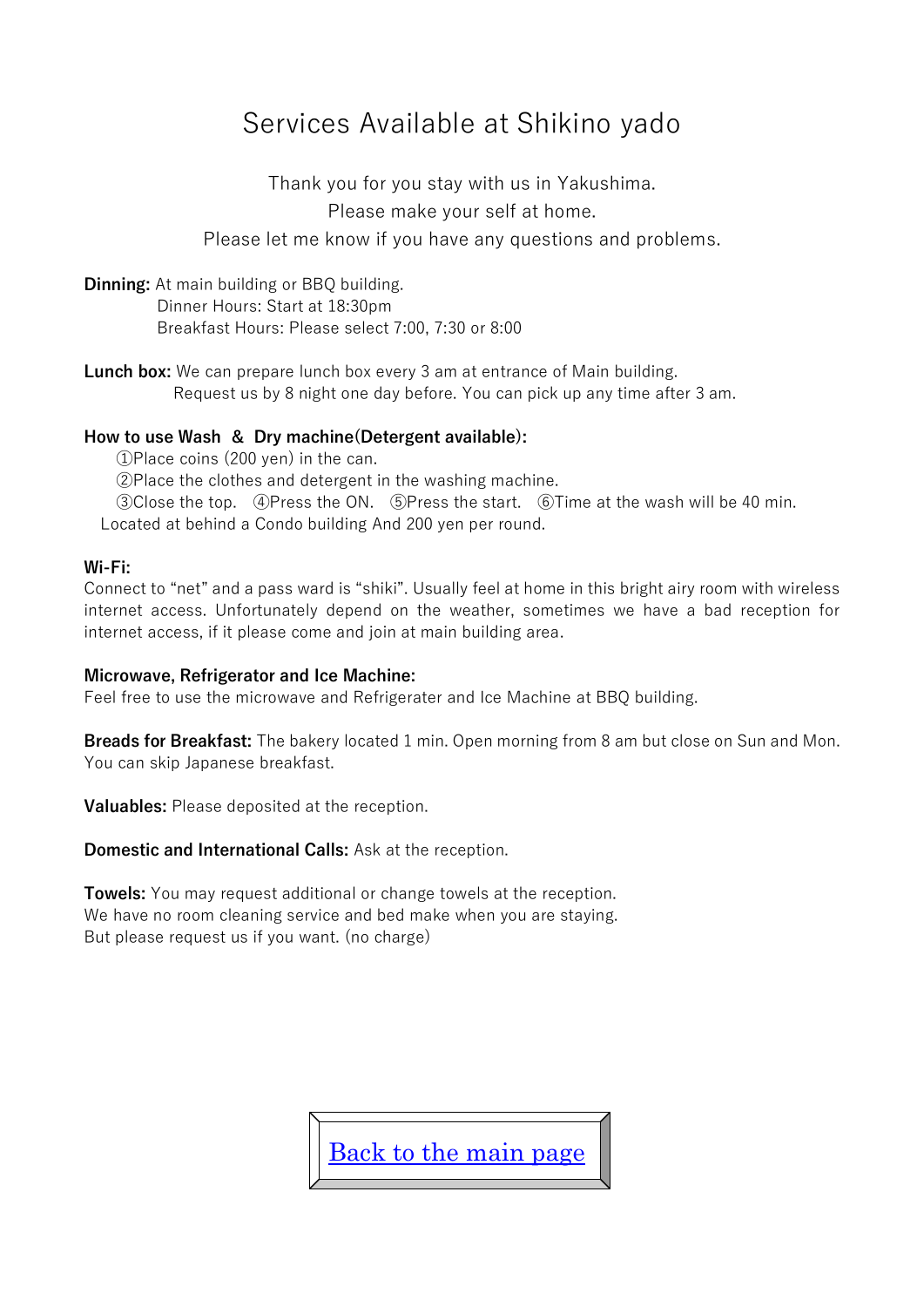# Services Available at Shikino yado

Thank you for you stay with us in Yakushima. Please make your self at home.

Please let me know if you have any questions and problems.

**Dinning:** At main building or BBQ building. Dinner Hours: Start at 18:30pm Breakfast Hours: Please select 7:00, 7:30 or 8:00

**Lunch box:** We can prepare lunch box every 3 am at entrance of Main building. Request us by 8 night one day before. You can pick up any time after 3 am.

#### **How to use Wash & Dry machine(Detergent available):**

①Place coins (200 yen) in the can.

②Place the clothes and detergent in the washing machine.

③Close the top. ④Press the ON. ⑤Press the start. ⑥Time at the wash will be 40 min. Located at behind a Condo building And 200 yen per round.

#### **Wi-Fi:**

Connect to "net" and a pass ward is "shiki". Usually feel at home in this bright airy room with wireless internet access. Unfortunately depend on the weather, sometimes we have a bad reception for internet access, if it please come and join at main building area.

#### **Microwave, Refrigerator and Ice Machine:**

Feel free to use the microwave and Refrigerater and Ice Machine at BBQ building.

**Breads for Breakfast:** The bakery located 1 min. Open morning from 8 am but close on Sun and Mon. You can skip Japanese breakfast.

**Valuables:** Please deposited at the reception.

**Domestic and International Calls:** Ask at the reception.

**Towels:** You may request additional or change towels at the reception. We have no room cleaning service and bed make when you are staying. But please request us if you want. (no charge)

[Back to the main page](http://www.h3.dion.ne.jp/~yasuakim/english.html)